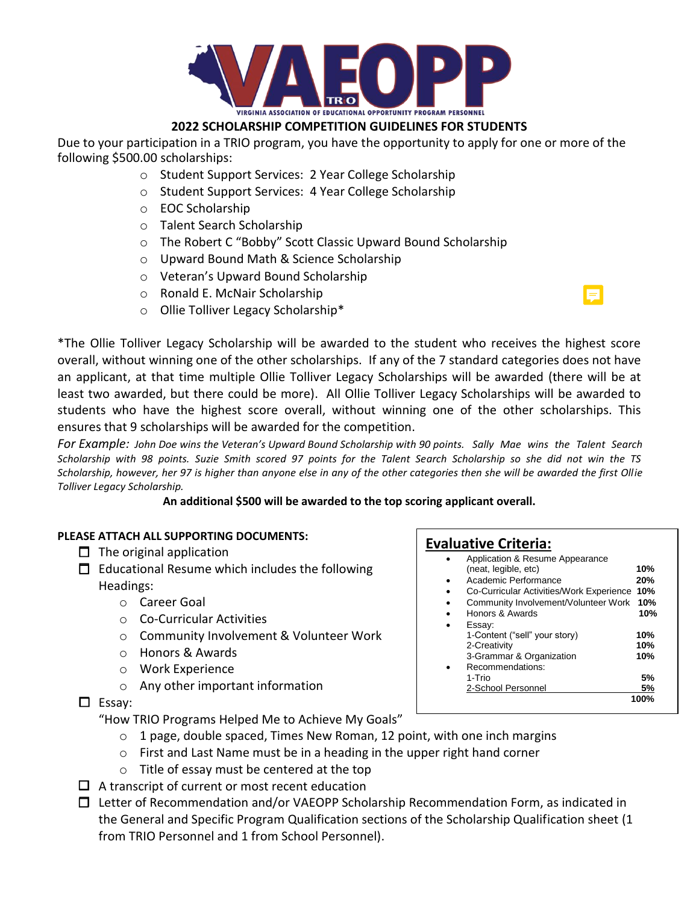

## **2022 SCHOLARSHIP COMPETITION GUIDELINES FOR STUDENTS**

Due to your participation in a TRIO program, you have the opportunity to apply for one or more of the following \$500.00 scholarships:

- o Student Support Services: 2 Year College Scholarship
- o Student Support Services: 4 Year College Scholarship
- o EOC Scholarship
- o Talent Search Scholarship
- o The Robert C "Bobby" Scott Classic Upward Bound Scholarship
- o Upward Bound Math & Science Scholarship
- o Veteran's Upward Bound Scholarship
- o Ronald E. McNair Scholarship
- o Ollie Tolliver Legacy Scholarship\*



\*The Ollie Tolliver Legacy Scholarship will be awarded to the student who receives the highest score overall, without winning one of the other scholarships. If any of the 7 standard categories does not have an applicant, at that time multiple Ollie Tolliver Legacy Scholarships will be awarded (there will be at least two awarded, but there could be more). All Ollie Tolliver Legacy Scholarships will be awarded to students who have the highest score overall, without winning one of the other scholarships. This ensures that 9 scholarships will be awarded for the competition.

 *For Example: John Doe wins the Veteran's Upward Bound Scholarship with 90 points. Sally Mae wins the Talent Search* Scholarship with 98 points. Suzie Smith scored 97 points for the Talent Search Scholarship so she did not win the TS *Scholarship, however, her 97 is higher than anyone else in any of the other categories then she will be awarded the first Ollie Tolliver Legacy Scholarship.*

**An additional \$500 will be awarded to the top scoring applicant overall.**

## **PLEASE ATTACH ALL SUPPORTING DOCUMENTS:**

- $\Box$  The original application
- $\Box$  Educational Resume which includes the following Headings:
	- o Career Goal
	- o Co-Curricular Activities
	- o Community Involvement & Volunteer Work
	- o Honors & Awards
	- o Work Experience
	- o Any other important information

 $\Box$  Essay:

"How TRIO Programs Helped Me to Achieve My Goals"

- $\circ$  1 page, double spaced, Times New Roman, 12 point, with one inch margins
- o First and Last Name must be in a heading in the upper right hand corner
- o Title of essay must be centered at the top
- $\Box$  A transcript of current or most recent education
- $\Box$  Letter of Recommendation and/or VAEOPP Scholarship Recommendation Form, as indicated in the General and Specific Program Qualification sections of the Scholarship Qualification sheet (1 from TRIO Personnel and 1 from School Personnel).

## **Evaluative Criteria:**

|   | $\bullet$ | Application & Resume Appearance              |     |
|---|-----------|----------------------------------------------|-----|
|   |           | (neat, legible, etc)                         | 10% |
| ٠ |           | Academic Performance                         | 20% |
| ٠ |           | Co-Curricular Activities/Work Experience 10% |     |
|   |           |                                              |     |

- Community Involvement/Volunteer Work **10%**
- Honors & Awards **10%** Essay:
- 1-Content ("sell" your story) **10%** 2-Creativity **10%** 3-Grammar & Organization **10%** Recommendations:<br>1-Trio 1-Trio **5%**

2-School Personnel **5%**

**100%**